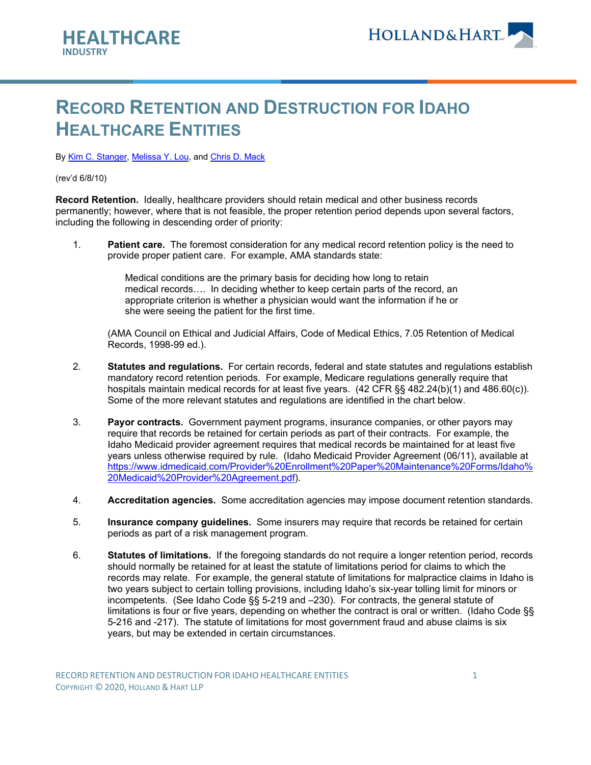

## **RECORD RETENTION AND DESTRUCTION FOR IDAHO HEALTHCARE ENTITIES**

B[y Kim C. Stanger,](https://www.hollandhart.com/kcstanger) [Melissa Y. Lou,](https://www.hollandhart.com/mlou) and [Chris D. Mack](https://www.hollandhart.com/cmack)

(rev'd 6/8/10)

**Record Retention.** Ideally, healthcare providers should retain medical and other business records permanently; however, where that is not feasible, the proper retention period depends upon several factors, including the following in descending order of priority:

1. **Patient care.** The foremost consideration for any medical record retention policy is the need to provide proper patient care. For example, AMA standards state:

> Medical conditions are the primary basis for deciding how long to retain medical records…. In deciding whether to keep certain parts of the record, an appropriate criterion is whether a physician would want the information if he or she were seeing the patient for the first time.

(AMA Council on Ethical and Judicial Affairs, Code of Medical Ethics, 7.05 Retention of Medical Records, 1998-99 ed.).

- 2. **Statutes and regulations.** For certain records, federal and state statutes and regulations establish mandatory record retention periods. For example, Medicare regulations generally require that hospitals maintain medical records for at least five years. (42 CFR §§ 482.24(b)(1) and 486.60(c)). Some of the more relevant statutes and regulations are identified in the chart below.
- 3. **Payor contracts.** Government payment programs, insurance companies, or other payors may require that records be retained for certain periods as part of their contracts. For example, the Idaho Medicaid provider agreement requires that medical records be maintained for at least five years unless otherwise required by rule. (Idaho Medicaid Provider Agreement (06/11), available at [https://www.idmedicaid.com/Provider%20Enrollment%20Paper%20Maintenance%20Forms/Idaho%](https://www.idmedicaid.com/Provider%20Enrollment%20Paper%20Maintenance%20Forms/Idaho%20Medicaid%20Provider%20Agreement.pdf) [20Medicaid%20Provider%20Agreement.pdf\)](https://www.idmedicaid.com/Provider%20Enrollment%20Paper%20Maintenance%20Forms/Idaho%20Medicaid%20Provider%20Agreement.pdf).
- 4. **Accreditation agencies.** Some accreditation agencies may impose document retention standards.
- 5. **Insurance company guidelines.** Some insurers may require that records be retained for certain periods as part of a risk management program.
- 6. **Statutes of limitations.** If the foregoing standards do not require a longer retention period, records should normally be retained for at least the statute of limitations period for claims to which the records may relate. For example, the general statute of limitations for malpractice claims in Idaho is two years subject to certain tolling provisions, including Idaho's six-year tolling limit for minors or incompetents. (See Idaho Code §§ 5-219 and –230). For contracts, the general statute of limitations is four or five years, depending on whether the contract is oral or written. (Idaho Code §§ 5-216 and -217). The statute of limitations for most government fraud and abuse claims is six years, but may be extended in certain circumstances.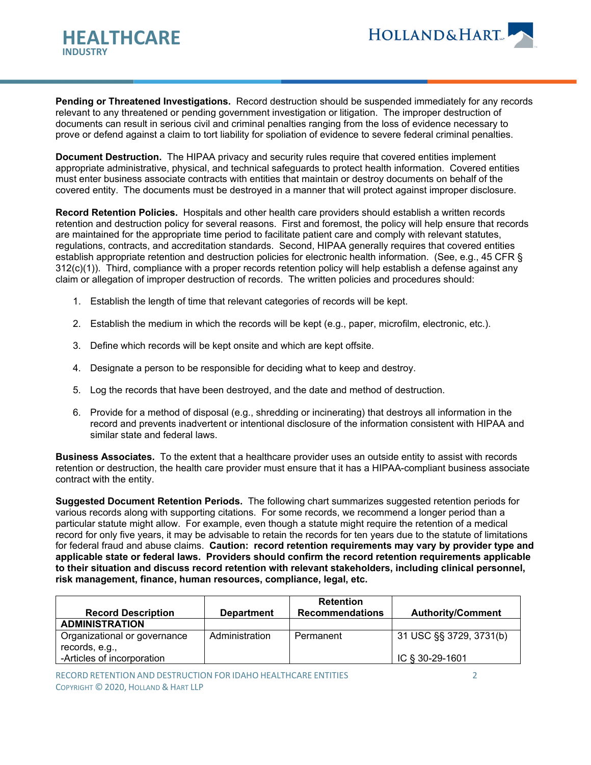

**Pending or Threatened Investigations.** Record destruction should be suspended immediately for any records relevant to any threatened or pending government investigation or litigation. The improper destruction of documents can result in serious civil and criminal penalties ranging from the loss of evidence necessary to prove or defend against a claim to tort liability for spoliation of evidence to severe federal criminal penalties.

**Document Destruction.** The HIPAA privacy and security rules require that covered entities implement appropriate administrative, physical, and technical safeguards to protect health information. Covered entities must enter business associate contracts with entities that maintain or destroy documents on behalf of the covered entity. The documents must be destroyed in a manner that will protect against improper disclosure.

**Record Retention Policies.** Hospitals and other health care providers should establish a written records retention and destruction policy for several reasons. First and foremost, the policy will help ensure that records are maintained for the appropriate time period to facilitate patient care and comply with relevant statutes, regulations, contracts, and accreditation standards. Second, HIPAA generally requires that covered entities establish appropriate retention and destruction policies for electronic health information. (See, e.g., 45 CFR § 312(c)(1)). Third, compliance with a proper records retention policy will help establish a defense against any claim or allegation of improper destruction of records. The written policies and procedures should:

- 1. Establish the length of time that relevant categories of records will be kept.
- 2. Establish the medium in which the records will be kept (e.g., paper, microfilm, electronic, etc.).
- 3. Define which records will be kept onsite and which are kept offsite.
- 4. Designate a person to be responsible for deciding what to keep and destroy.
- 5. Log the records that have been destroyed, and the date and method of destruction.
- 6. Provide for a method of disposal (e.g., shredding or incinerating) that destroys all information in the record and prevents inadvertent or intentional disclosure of the information consistent with HIPAA and similar state and federal laws.

**Business Associates.** To the extent that a healthcare provider uses an outside entity to assist with records retention or destruction, the health care provider must ensure that it has a HIPAA-compliant business associate contract with the entity.

**Suggested Document Retention Periods.** The following chart summarizes suggested retention periods for various records along with supporting citations. For some records, we recommend a longer period than a particular statute might allow. For example, even though a statute might require the retention of a medical record for only five years, it may be advisable to retain the records for ten years due to the statute of limitations for federal fraud and abuse claims. **Caution: record retention requirements may vary by provider type and applicable state or federal laws. Providers should confirm the record retention requirements applicable to their situation and discuss record retention with relevant stakeholders, including clinical personnel, risk management, finance, human resources, compliance, legal, etc.**

| <b>Record Description</b>                      | <b>Department</b> | <b>Retention</b><br><b>Recommendations</b> | <b>Authority/Comment</b> |
|------------------------------------------------|-------------------|--------------------------------------------|--------------------------|
| <b>ADMINISTRATION</b>                          |                   |                                            |                          |
| Organizational or governance<br>records, e.g., | Administration    | Permanent                                  | 31 USC §§ 3729, 3731(b)  |
| -Articles of incorporation                     |                   |                                            | IC § 30-29-1601          |

RECORD RETENTION AND DESTRUCTION FOR IDAHO HEALTHCARE ENTITIES 2 COPYRIGHT © 2020, HOLLAND & HART LLP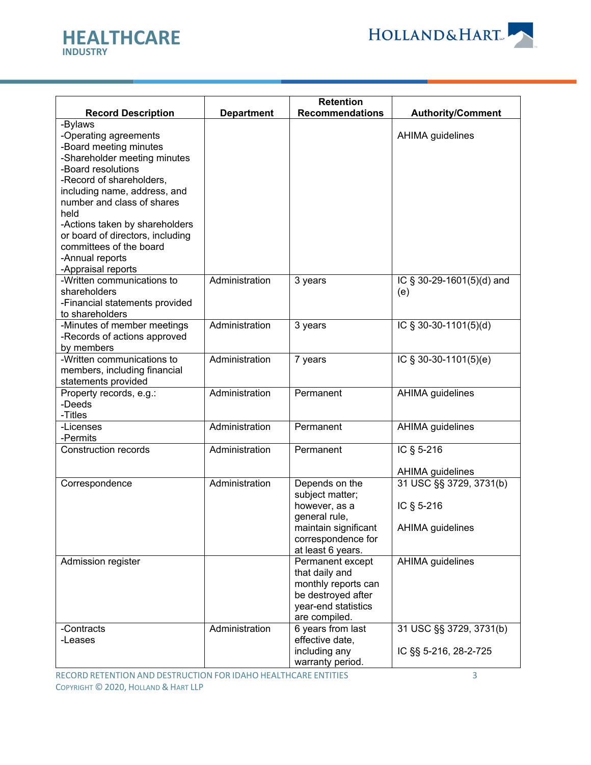



|                                                                                                                                                                                                                                                                                                                                                              |                   | <b>Retention</b>                                                                                                                       |                                                           |
|--------------------------------------------------------------------------------------------------------------------------------------------------------------------------------------------------------------------------------------------------------------------------------------------------------------------------------------------------------------|-------------------|----------------------------------------------------------------------------------------------------------------------------------------|-----------------------------------------------------------|
| <b>Record Description</b>                                                                                                                                                                                                                                                                                                                                    | <b>Department</b> | <b>Recommendations</b>                                                                                                                 | <b>Authority/Comment</b>                                  |
| -Bylaws<br>-Operating agreements<br>-Board meeting minutes<br>-Shareholder meeting minutes<br>-Board resolutions<br>-Record of shareholders,<br>including name, address, and<br>number and class of shares<br>held<br>-Actions taken by shareholders<br>or board of directors, including<br>committees of the board<br>-Annual reports<br>-Appraisal reports |                   |                                                                                                                                        | <b>AHIMA</b> guidelines                                   |
| -Written communications to<br>shareholders<br>-Financial statements provided<br>to shareholders                                                                                                                                                                                                                                                              | Administration    | 3 years                                                                                                                                | IC § 30-29-1601(5)(d) and<br>(e)                          |
| -Minutes of member meetings<br>-Records of actions approved<br>by members                                                                                                                                                                                                                                                                                    | Administration    | 3 years                                                                                                                                | IC § 30-30-1101(5)(d)                                     |
| -Written communications to<br>members, including financial<br>statements provided                                                                                                                                                                                                                                                                            | Administration    | 7 years                                                                                                                                | IC § 30-30-1101(5)(e)                                     |
| Property records, e.g.:<br>-Deeds<br>-Titles                                                                                                                                                                                                                                                                                                                 | Administration    | Permanent                                                                                                                              | <b>AHIMA</b> guidelines                                   |
| -Licenses<br>-Permits                                                                                                                                                                                                                                                                                                                                        | Administration    | Permanent                                                                                                                              | AHIMA guidelines                                          |
| <b>Construction records</b>                                                                                                                                                                                                                                                                                                                                  | Administration    | Permanent                                                                                                                              | IC § 5-216<br>AHIMA guidelines                            |
| Correspondence                                                                                                                                                                                                                                                                                                                                               | Administration    | Depends on the<br>subject matter;<br>however, as a<br>general rule,<br>maintain significant<br>correspondence for<br>at least 6 years. | 31 USC §§ 3729, 3731(b)<br>IC § 5-216<br>AHIMA guidelines |
| Admission register                                                                                                                                                                                                                                                                                                                                           |                   | Permanent except<br>that daily and<br>monthly reports can<br>be destroyed after<br>year-end statistics<br>are compiled.                | AHIMA guidelines                                          |
| -Contracts<br>-Leases                                                                                                                                                                                                                                                                                                                                        | Administration    | 6 years from last<br>effective date,<br>including any<br>warranty period.                                                              | 31 USC §§ 3729, 3731(b)<br>IC §§ 5-216, 28-2-725          |

RECORD RETENTION AND DESTRUCTION FOR IDAHO HEALTHCARE ENTITIES 3 COPYRIGHT © 2020, HOLLAND & HART LLP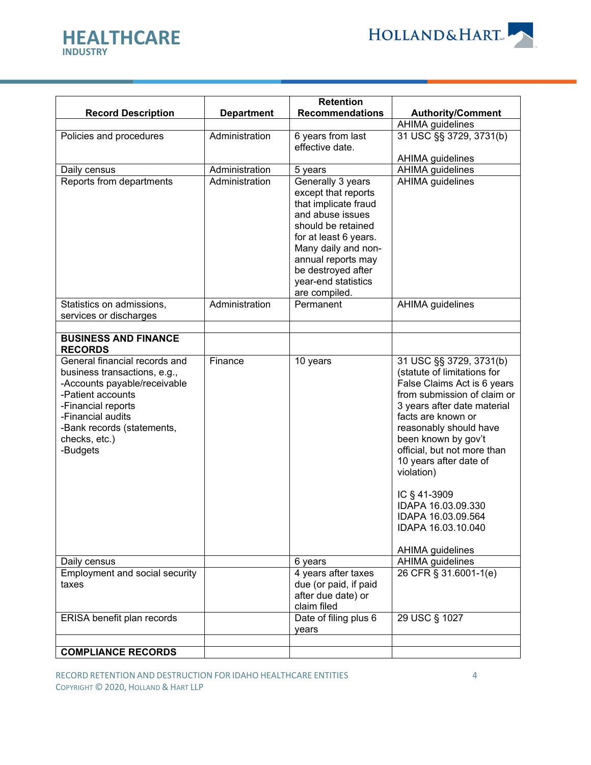

**HEALTHCARE**

**INDUSTRY**

|                                                                                                                                                                                                                          |                   | <b>Retention</b>                                                                                                                                                                                                              |                                                                                                                                                                                                                                                                                                                                                                                                                |
|--------------------------------------------------------------------------------------------------------------------------------------------------------------------------------------------------------------------------|-------------------|-------------------------------------------------------------------------------------------------------------------------------------------------------------------------------------------------------------------------------|----------------------------------------------------------------------------------------------------------------------------------------------------------------------------------------------------------------------------------------------------------------------------------------------------------------------------------------------------------------------------------------------------------------|
| <b>Record Description</b>                                                                                                                                                                                                | <b>Department</b> | <b>Recommendations</b>                                                                                                                                                                                                        | <b>Authority/Comment</b>                                                                                                                                                                                                                                                                                                                                                                                       |
|                                                                                                                                                                                                                          |                   |                                                                                                                                                                                                                               | <b>AHIMA</b> guidelines                                                                                                                                                                                                                                                                                                                                                                                        |
| Policies and procedures                                                                                                                                                                                                  | Administration    | 6 years from last                                                                                                                                                                                                             | 31 USC §§ 3729, 3731(b)                                                                                                                                                                                                                                                                                                                                                                                        |
|                                                                                                                                                                                                                          |                   | effective date.                                                                                                                                                                                                               |                                                                                                                                                                                                                                                                                                                                                                                                                |
|                                                                                                                                                                                                                          |                   |                                                                                                                                                                                                                               | <b>AHIMA</b> guidelines                                                                                                                                                                                                                                                                                                                                                                                        |
| Daily census                                                                                                                                                                                                             | Administration    | 5 years                                                                                                                                                                                                                       | AHIMA guidelines                                                                                                                                                                                                                                                                                                                                                                                               |
| Reports from departments                                                                                                                                                                                                 | Administration    | Generally 3 years<br>except that reports<br>that implicate fraud<br>and abuse issues<br>should be retained<br>for at least 6 years.<br>Many daily and non-<br>annual reports may<br>be destroyed after<br>year-end statistics | AHIMA guidelines                                                                                                                                                                                                                                                                                                                                                                                               |
|                                                                                                                                                                                                                          |                   | are compiled.                                                                                                                                                                                                                 |                                                                                                                                                                                                                                                                                                                                                                                                                |
| Statistics on admissions,<br>services or discharges                                                                                                                                                                      | Administration    | Permanent                                                                                                                                                                                                                     | <b>AHIMA</b> guidelines                                                                                                                                                                                                                                                                                                                                                                                        |
|                                                                                                                                                                                                                          |                   |                                                                                                                                                                                                                               |                                                                                                                                                                                                                                                                                                                                                                                                                |
| <b>BUSINESS AND FINANCE</b><br><b>RECORDS</b>                                                                                                                                                                            |                   |                                                                                                                                                                                                                               |                                                                                                                                                                                                                                                                                                                                                                                                                |
| General financial records and<br>business transactions, e.g.,<br>-Accounts payable/receivable<br>-Patient accounts<br>-Financial reports<br>-Financial audits<br>-Bank records (statements,<br>checks, etc.)<br>-Budgets | Finance           | 10 years                                                                                                                                                                                                                      | 31 USC §§ 3729, 3731(b)<br>(statute of limitations for<br>False Claims Act is 6 years<br>from submission of claim or<br>3 years after date material<br>facts are known or<br>reasonably should have<br>been known by gov't<br>official, but not more than<br>10 years after date of<br>violation)<br>IC § 41-3909<br>IDAPA 16.03.09.330<br>IDAPA 16.03.09.564<br>IDAPA 16.03.10.040<br><b>AHIMA</b> guidelines |
| Daily census                                                                                                                                                                                                             |                   | 6 years                                                                                                                                                                                                                       | AHIMA guidelines                                                                                                                                                                                                                                                                                                                                                                                               |
| Employment and social security<br>taxes                                                                                                                                                                                  |                   | 4 years after taxes<br>due (or paid, if paid<br>after due date) or<br>claim filed                                                                                                                                             | 26 CFR § 31.6001-1(e)                                                                                                                                                                                                                                                                                                                                                                                          |
| ERISA benefit plan records                                                                                                                                                                                               |                   | Date of filing plus 6<br>years                                                                                                                                                                                                | 29 USC § 1027                                                                                                                                                                                                                                                                                                                                                                                                  |
| <b>COMPLIANCE RECORDS</b>                                                                                                                                                                                                |                   |                                                                                                                                                                                                                               |                                                                                                                                                                                                                                                                                                                                                                                                                |
|                                                                                                                                                                                                                          |                   |                                                                                                                                                                                                                               |                                                                                                                                                                                                                                                                                                                                                                                                                |

RECORD RETENTION AND DESTRUCTION FOR IDAHO HEALTHCARE ENTITIES 4 COPYRIGHT © 2020, HOLLAND & HART LLP

HOLLAND&HART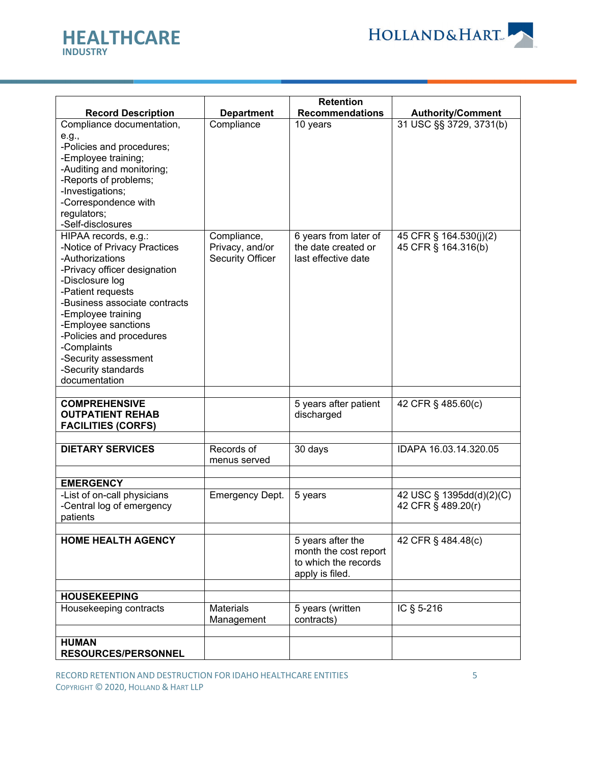



|                                                                                                                                                                                                                                                                                                                                          |                                                           | <b>Retention</b>                                                                      |                                                |
|------------------------------------------------------------------------------------------------------------------------------------------------------------------------------------------------------------------------------------------------------------------------------------------------------------------------------------------|-----------------------------------------------------------|---------------------------------------------------------------------------------------|------------------------------------------------|
| <b>Record Description</b>                                                                                                                                                                                                                                                                                                                | <b>Department</b>                                         | <b>Recommendations</b>                                                                | <b>Authority/Comment</b>                       |
| Compliance documentation,<br>e.g.,<br>-Policies and procedures;<br>-Employee training;<br>-Auditing and monitoring;<br>-Reports of problems;<br>-Investigations;<br>-Correspondence with<br>regulators;<br>-Self-disclosures                                                                                                             | Compliance                                                | 10 years                                                                              | 31 USC §§ 3729, 3731(b)                        |
| HIPAA records, e.g.:<br>-Notice of Privacy Practices<br>-Authorizations<br>-Privacy officer designation<br>-Disclosure log<br>-Patient requests<br>-Business associate contracts<br>-Employee training<br>-Employee sanctions<br>-Policies and procedures<br>-Complaints<br>-Security assessment<br>-Security standards<br>documentation | Compliance,<br>Privacy, and/or<br><b>Security Officer</b> | 6 years from later of<br>the date created or<br>last effective date                   | 45 CFR § 164.530(j)(2)<br>45 CFR § 164.316(b)  |
| <b>COMPREHENSIVE</b><br><b>OUTPATIENT REHAB</b><br><b>FACILITIES (CORFS)</b>                                                                                                                                                                                                                                                             |                                                           | 5 years after patient<br>discharged                                                   | 42 CFR § 485.60(c)                             |
|                                                                                                                                                                                                                                                                                                                                          |                                                           |                                                                                       |                                                |
| <b>DIETARY SERVICES</b>                                                                                                                                                                                                                                                                                                                  | Records of<br>menus served                                | 30 days                                                                               | IDAPA 16.03.14.320.05                          |
|                                                                                                                                                                                                                                                                                                                                          |                                                           |                                                                                       |                                                |
| <b>EMERGENCY</b><br>-List of on-call physicians<br>-Central log of emergency<br>patients                                                                                                                                                                                                                                                 | <b>Emergency Dept.</b>                                    | 5 years                                                                               | 42 USC § 1395dd(d)(2)(C)<br>42 CFR § 489.20(r) |
| <b>HOME HEALTH AGENCY</b>                                                                                                                                                                                                                                                                                                                |                                                           | 5 years after the<br>month the cost report<br>to which the records<br>apply is filed. | 42 CFR § 484.48(c)                             |
| <b>HOUSEKEEPING</b>                                                                                                                                                                                                                                                                                                                      |                                                           |                                                                                       |                                                |
| Housekeeping contracts                                                                                                                                                                                                                                                                                                                   | <b>Materials</b><br>Management                            | 5 years (written<br>contracts)                                                        | IC § 5-216                                     |
|                                                                                                                                                                                                                                                                                                                                          |                                                           |                                                                                       |                                                |
| <b>HUMAN</b><br><b>RESOURCES/PERSONNEL</b>                                                                                                                                                                                                                                                                                               |                                                           |                                                                                       |                                                |

RECORD RETENTION AND DESTRUCTION FOR IDAHO HEALTHCARE ENTITIES 5 COPYRIGHT © 2020, HOLLAND & HART LLP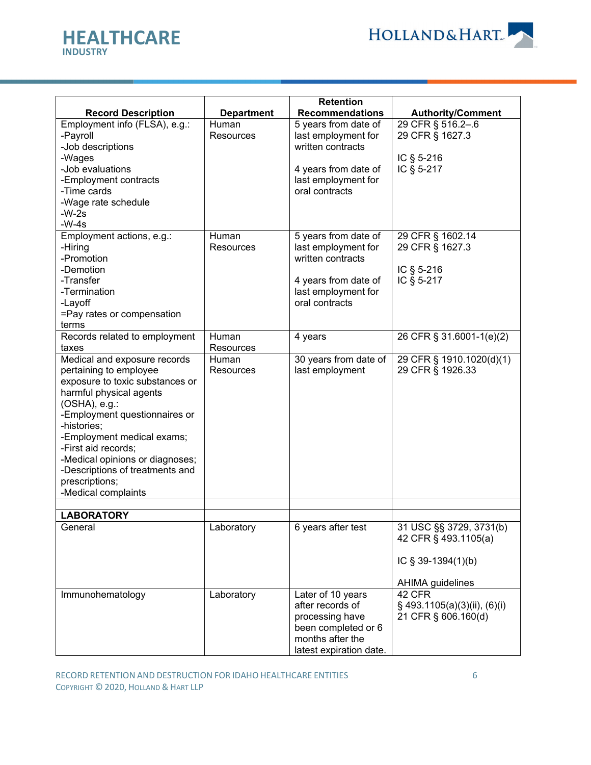

|                 | <b>HEALTHCARE</b> |
|-----------------|-------------------|
| <b>INDUSTRY</b> |                   |

|                                                                                                                                                                                                                                                                                                                                                                    |                                 | <b>Retention</b>                                                                                                                  |                                                                                                  |
|--------------------------------------------------------------------------------------------------------------------------------------------------------------------------------------------------------------------------------------------------------------------------------------------------------------------------------------------------------------------|---------------------------------|-----------------------------------------------------------------------------------------------------------------------------------|--------------------------------------------------------------------------------------------------|
| <b>Record Description</b>                                                                                                                                                                                                                                                                                                                                          | <b>Department</b>               | <b>Recommendations</b>                                                                                                            | <b>Authority/Comment</b>                                                                         |
| Employment info (FLSA), e.g.:<br>-Payroll<br>-Job descriptions<br>-Wages<br>-Job evaluations<br>-Employment contracts<br>-Time cards<br>-Wage rate schedule<br>$-W-2s$<br>$-W-4s$                                                                                                                                                                                  | Human<br><b>Resources</b>       | 5 years from date of<br>last employment for<br>written contracts<br>4 years from date of<br>last employment for<br>oral contracts | 29 CFR § 516.2-.6<br>29 CFR § 1627.3<br>IC $\S$ 5-216<br>IC § 5-217                              |
| Employment actions, e.g.:<br>-Hiring<br>-Promotion<br>-Demotion<br>-Transfer<br>-Termination<br>-Layoff<br>=Pay rates or compensation<br>terms                                                                                                                                                                                                                     | Human<br>Resources              | 5 years from date of<br>last employment for<br>written contracts<br>4 years from date of<br>last employment for<br>oral contracts | 29 CFR § 1602.14<br>29 CFR § 1627.3<br>IC § 5-216<br>IC § 5-217                                  |
| Records related to employment                                                                                                                                                                                                                                                                                                                                      | Human                           | 4 years                                                                                                                           | 26 CFR § 31.6001-1(e)(2)                                                                         |
| taxes<br>Medical and exposure records<br>pertaining to employee<br>exposure to toxic substances or<br>harmful physical agents<br>(OSHA), e.g.:<br>-Employment questionnaires or<br>-histories;<br>-Employment medical exams;<br>-First aid records;<br>-Medical opinions or diagnoses;<br>-Descriptions of treatments and<br>prescriptions;<br>-Medical complaints | Resources<br>Human<br>Resources | 30 years from date of<br>last employment                                                                                          | 29 CFR § 1910.1020(d)(1)<br>29 CFR § 1926.33                                                     |
|                                                                                                                                                                                                                                                                                                                                                                    |                                 |                                                                                                                                   |                                                                                                  |
| <b>LABORATORY</b><br>General                                                                                                                                                                                                                                                                                                                                       | Laboratory                      | 6 years after test                                                                                                                | 31 USC §§ 3729, 3731(b)<br>42 CFR § 493.1105(a)<br>IC § 39-1394(1)(b)<br><b>AHIMA</b> guidelines |
| Immunohematology                                                                                                                                                                                                                                                                                                                                                   | Laboratory                      | Later of 10 years<br>after records of<br>processing have<br>been completed or 6<br>months after the<br>latest expiration date.    | 42 CFR<br>$\S$ 493.1105(a)(3)(ii), (6)(i)<br>21 CFR § 606.160(d)                                 |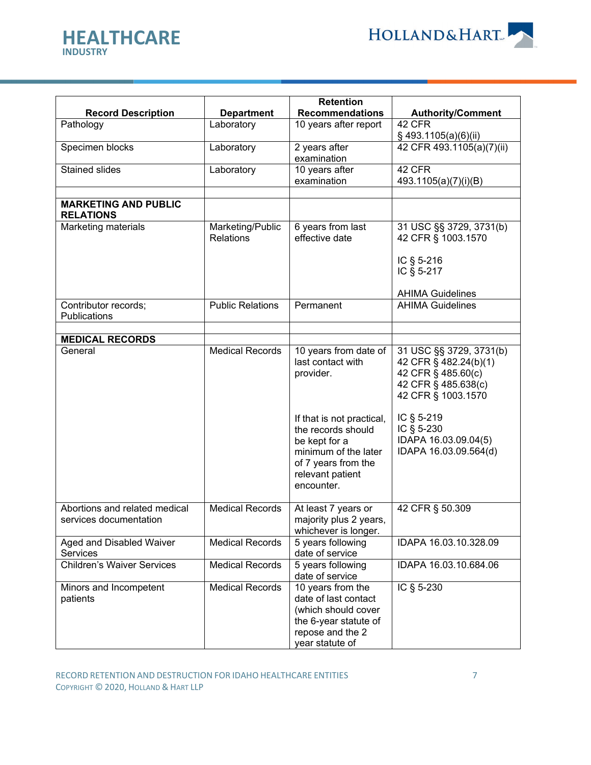

| <b>HEALTHCARE</b><br><b>INDUSTRY</b>                    |                                      | <b>HOLLAND&amp;HART</b>                                                                                                                           |                                                                                                                     |  |
|---------------------------------------------------------|--------------------------------------|---------------------------------------------------------------------------------------------------------------------------------------------------|---------------------------------------------------------------------------------------------------------------------|--|
| <b>Record Description</b>                               | <b>Department</b>                    | <b>Retention</b><br><b>Recommendations</b>                                                                                                        | <b>Authority/Comment</b>                                                                                            |  |
| Pathology                                               | Laboratory                           | 10 years after report                                                                                                                             | 42 CFR                                                                                                              |  |
| Specimen blocks                                         | Laboratory                           | 2 years after<br>examination                                                                                                                      | $\S$ 493.1105(a)(6)(ii)<br>42 CFR 493.1105(a)(7)(ii)                                                                |  |
| <b>Stained slides</b>                                   | Laboratory                           | 10 years after<br>examination                                                                                                                     | 42 CFR<br>493.1105(a)(7)(i)(B)                                                                                      |  |
| <b>MARKETING AND PUBLIC</b><br><b>RELATIONS</b>         |                                      |                                                                                                                                                   |                                                                                                                     |  |
| Marketing materials                                     | Marketing/Public<br><b>Relations</b> | 6 years from last<br>effective date                                                                                                               | 31 USC §§ 3729, 3731(b)<br>42 CFR § 1003.1570<br>IC § 5-216<br>IC § 5-217                                           |  |
|                                                         |                                      |                                                                                                                                                   | <b>AHIMA Guidelines</b>                                                                                             |  |
| Contributor records;<br>Publications                    | <b>Public Relations</b>              | Permanent                                                                                                                                         | <b>AHIMA Guidelines</b>                                                                                             |  |
| <b>MEDICAL RECORDS</b>                                  |                                      |                                                                                                                                                   |                                                                                                                     |  |
| General                                                 | <b>Medical Records</b>               | 10 years from date of<br>last contact with<br>provider.                                                                                           | 31 USC §§ 3729, 3731(b)<br>42 CFR § 482.24(b)(1)<br>42 CFR § 485.60(c)<br>42 CFR § 485.638(c)<br>42 CFR § 1003.1570 |  |
|                                                         |                                      | If that is not practical,<br>the records should<br>be kept for a<br>minimum of the later<br>of 7 years from the<br>relevant patient<br>encounter. | IC § 5-219<br>IC § 5-230<br>IDAPA 16.03.09.04(5)<br>IDAPA 16.03.09.564(d)                                           |  |
| Abortions and related medical<br>services documentation | <b>Medical Records</b>               | At least 7 years or<br>majority plus 2 years,<br>whichever is longer.                                                                             | 42 CFR § 50.309                                                                                                     |  |

Medical Records 5 years following

Medical Records | 10 years from the

date of service

date of service

date of last contact (which should cover the 6-year statute of repose and the 2 year statute of

Children's Waiver Services Medical Records 5 years following

Aged and Disabled Waiver

Minors and Incompetent

**Services** 

patients

IDAPA 16.03.10.328.09

IDAPA 16.03.10.684.06

IC § 5-230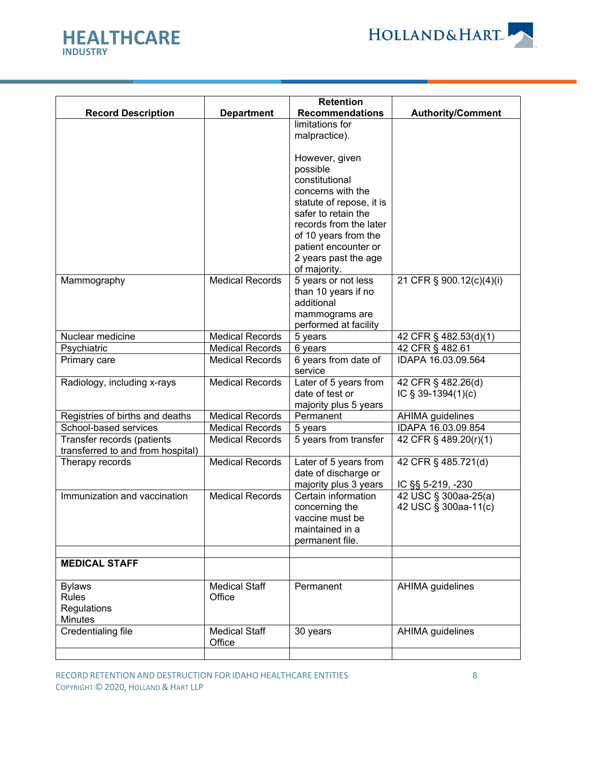



|                                   |                        | <b>Retention</b>                             |                          |
|-----------------------------------|------------------------|----------------------------------------------|--------------------------|
| <b>Record Description</b>         | <b>Department</b>      | <b>Recommendations</b>                       | <b>Authority/Comment</b> |
|                                   |                        | limitations for                              |                          |
|                                   |                        | malpractice).                                |                          |
|                                   |                        |                                              |                          |
|                                   |                        | However, given                               |                          |
|                                   |                        | possible                                     |                          |
|                                   |                        | constitutional                               |                          |
|                                   |                        | concerns with the                            |                          |
|                                   |                        | statute of repose, it is                     |                          |
|                                   |                        | safer to retain the                          |                          |
|                                   |                        | records from the later                       |                          |
|                                   |                        | of 10 years from the                         |                          |
|                                   |                        | patient encounter or                         |                          |
|                                   |                        | 2 years past the age                         |                          |
|                                   |                        | of majority.                                 |                          |
| Mammography                       | <b>Medical Records</b> | 5 years or not less                          | 21 CFR § 900.12(c)(4)(i) |
|                                   |                        | than 10 years if no                          |                          |
|                                   |                        | additional                                   |                          |
|                                   |                        | mammograms are                               |                          |
|                                   |                        | performed at facility                        |                          |
| Nuclear medicine                  | <b>Medical Records</b> | 5 years                                      | 42 CFR § 482.53(d)(1)    |
| Psychiatric                       | <b>Medical Records</b> | 6 years                                      | 42 CFR § 482.61          |
| Primary care                      | <b>Medical Records</b> | 6 years from date of                         | IDAPA 16.03.09.564       |
|                                   |                        | service                                      |                          |
| Radiology, including x-rays       | <b>Medical Records</b> | Later of 5 years from                        | 42 CFR § 482.26(d)       |
|                                   |                        | date of test or                              | IC $\S$ 39-1394(1)(c)    |
|                                   |                        | majority plus 5 years                        |                          |
| Registries of births and deaths   | <b>Medical Records</b> | Permanent                                    | AHIMA guidelines         |
| School-based services             | <b>Medical Records</b> | 5 years                                      | IDAPA 16.03.09.854       |
| Transfer records (patients        | <b>Medical Records</b> | 5 years from transfer                        | 42 CFR § 489.20(r)(1)    |
| transferred to and from hospital) |                        |                                              |                          |
| Therapy records                   | <b>Medical Records</b> | Later of 5 years from                        | 42 CFR § 485.721(d)      |
|                                   |                        | date of discharge or                         |                          |
| Immunization and vaccination      | <b>Medical Records</b> | majority plus 3 years<br>Certain information | IC §§ 5-219, -230        |
|                                   |                        | concerning the                               | 42 USC § 300aa-25(a)     |
|                                   |                        | vaccine must be                              | 42 USC § 300aa-11(c)     |
|                                   |                        | maintained in a                              |                          |
|                                   |                        | permanent file.                              |                          |
|                                   |                        |                                              |                          |
| <b>MEDICAL STAFF</b>              |                        |                                              |                          |
|                                   |                        |                                              |                          |
| <b>Bylaws</b>                     | <b>Medical Staff</b>   | Permanent                                    | AHIMA guidelines         |
| Rules                             | Office                 |                                              |                          |
| Regulations                       |                        |                                              |                          |
| Minutes                           |                        |                                              |                          |
| Credentialing file                | <b>Medical Staff</b>   | 30 years                                     | AHIMA guidelines         |
|                                   | Office                 |                                              |                          |
|                                   |                        |                                              |                          |